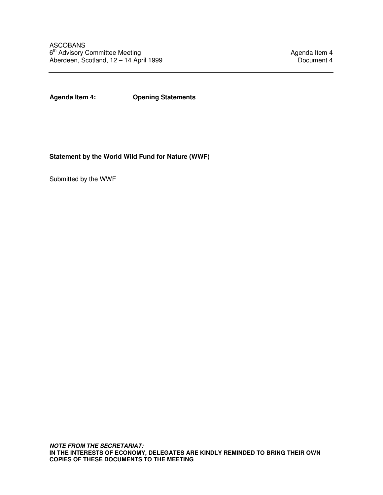**Agenda Item 4: Opening Statements** 

**Statement by the World Wild Fund for Nature (WWF)** 

Submitted by the WWF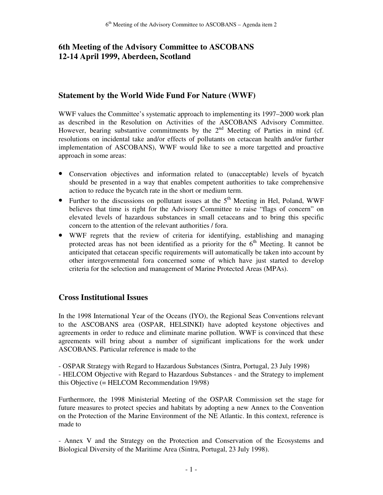# **6th Meeting of the Advisory Committee to ASCOBANS 12-14 April 1999, Aberdeen, Scotland**

# **Statement by the World Wide Fund For Nature (WWF)**

WWF values the Committee's systematic approach to implementing its 1997–2000 work plan as described in the Resolution on Activities of the ASCOBANS Advisory Committee. However, bearing substantive commitments by the  $2<sup>nd</sup>$  Meeting of Parties in mind (cf. resolutions on incidental take and/or effects of pollutants on cetacean health and/or further implementation of ASCOBANS), WWF would like to see a more targetted and proactive approach in some areas:

- Conservation objectives and information related to (unacceptable) levels of bycatch should be presented in a way that enables competent authorities to take comprehensive action to reduce the bycatch rate in the short or medium term.
- Further to the discussions on pollutant issues at the  $5<sup>th</sup>$  Meeting in Hel, Poland, WWF believes that time is right for the Advisory Committee to raise "flags of concern" on elevated levels of hazardous substances in small cetaceans and to bring this specific concern to the attention of the relevant authorities / fora.
- WWF regrets that the review of criteria for identifying, establishing and managing protected areas has not been identified as a priority for the  $6<sup>th</sup>$  Meeting. It cannot be anticipated that cetacean specific requirements will automatically be taken into account by other intergovernmental fora concerned some of which have just started to develop criteria for the selection and management of Marine Protected Areas (MPAs).

### **Cross Institutional Issues**

In the 1998 International Year of the Oceans (IYO), the Regional Seas Conventions relevant to the ASCOBANS area (OSPAR, HELSINKI) have adopted keystone objectives and agreements in order to reduce and eliminate marine pollution. WWF is convinced that these agreements will bring about a number of significant implications for the work under ASCOBANS. Particular reference is made to the

- OSPAR Strategy with Regard to Hazardous Substances (Sintra, Portugal, 23 July 1998) - HELCOM Objective with Regard to Hazardous Substances - and the Strategy to implement this Objective (= HELCOM Recommendation 19/98)

Furthermore, the 1998 Ministerial Meeting of the OSPAR Commission set the stage for future measures to protect species and habitats by adopting a new Annex to the Convention on the Protection of the Marine Environment of the NE Atlantic. In this context, reference is made to

- Annex V and the Strategy on the Protection and Conservation of the Ecosystems and Biological Diversity of the Maritime Area (Sintra, Portugal, 23 July 1998).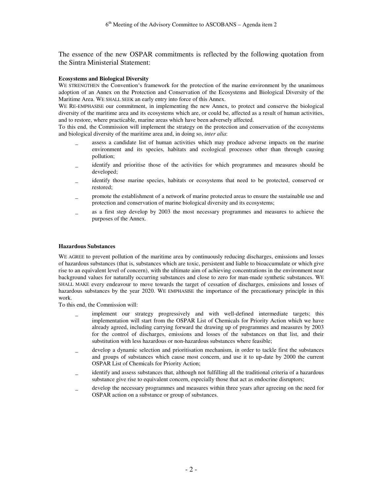The essence of the new OSPAR commitments is reflected by the following quotation from the Sintra Ministerial Statement:

#### **Ecosystems and Biological Diversity**

WE STRENGTHEN the Convention's framework for the protection of the marine environment by the unanimous adoption of an Annex on the Protection and Conservation of the Ecosystems and Biological Diversity of the Maritime Area. WE SHALL SEEK an early entry into force of this Annex.

WE RE-EMPHASISE our commitment, in implementing the new Annex, to protect and conserve the biological diversity of the maritime area and its ecosystems which are, or could be, affected as a result of human activities, and to restore, where practicable, marine areas which have been adversely affected.

To this end, the Commission will implement the strategy on the protection and conservation of the ecosystems and biological diversity of the maritime area and, in doing so, *inter alia*:

- assess a candidate list of human activities which may produce adverse impacts on the marine environment and its species, habitats and ecological processes other than through causing pollution;
- identify and prioritise those of the activities for which programmes and measures should be developed;
- identify those marine species, habitats or ecosystems that need to be protected, conserved or restored;
- promote the establishment of a network of marine protected areas to ensure the sustainable use and protection and conservation of marine biological diversity and its ecosystems;
- as a first step develop by 2003 the most necessary programmes and measures to achieve the purposes of the Annex.

#### **Hazardous Substances**

WE AGREE to prevent pollution of the maritime area by continuously reducing discharges, emissions and losses of hazardous substances (that is, substances which are toxic, persistent and liable to bioaccumulate or which give rise to an equivalent level of concern), with the ultimate aim of achieving concentrations in the environment near background values for naturally occurring substances and close to zero for man-made synthetic substances. WE SHALL MAKE every endeavour to move towards the target of cessation of discharges, emissions and losses of hazardous substances by the year 2020. WE EMPHASISE the importance of the precautionary principle in this work.

To this end, the Commission will:

- implement our strategy progressively and with well-defined intermediate targets; this implementation will start from the OSPAR List of Chemicals for Priority Action which we have already agreed, including carrying forward the drawing up of programmes and measures by 2003 for the control of discharges, emissions and losses of the substances on that list, and their substitution with less hazardous or non-hazardous substances where feasible;
- develop a dynamic selection and prioritisation mechanism, in order to tackle first the substances and groups of substances which cause most concern, and use it to up-date by 2000 the current OSPAR List of Chemicals for Priority Action;
- identify and assess substances that, although not fulfilling all the traditional criteria of a hazardous substance give rise to equivalent concern, especially those that act as endocrine disruptors;
- develop the necessary programmes and measures within three years after agreeing on the need for OSPAR action on a substance or group of substances.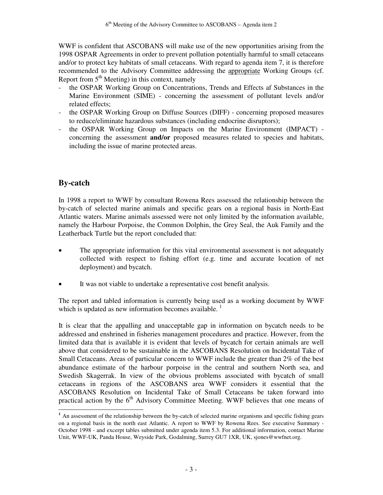WWF is confident that ASCOBANS will make use of the new opportunities arising from the 1998 OSPAR Agreements in order to prevent pollution potentially harmful to small cetaceans and/or to protect key habitats of small cetaceans. With regard to agenda item 7, it is therefore recommended to the Advisory Committee addressing the appropriate Working Groups (cf. Report from  $5<sup>th</sup>$  Meeting) in this context, namely

- the OSPAR Working Group on Concentrations, Trends and Effects af Substances in the Marine Environment (SIME) - concerning the assessment of pollutant levels and/or related effects;
- the OSPAR Working Group on Diffuse Sources (DIFF) concerning proposed measures to reduce/eliminate hazardous substances (including endocrine disruptors);
- the OSPAR Working Group on Impacts on the Marine Environment (IMPACT) concerning the assessment **and/or** proposed measures related to species and habitats, including the issue of marine protected areas.

# **By-catch**

 $\overline{a}$ 

In 1998 a report to WWF by consultant Rowena Rees assessed the relationship between the by-catch of selected marine animals and specific gears on a regional basis in North-East Atlantic waters. Marine animals assessed were not only limited by the information available, namely the Harbour Porpoise, the Common Dolphin, the Grey Seal, the Auk Family and the Leatherback Turtle but the report concluded that:

- The appropriate information for this vital environmental assessment is not adequately collected with respect to fishing effort (e.g. time and accurate location of net deployment) and bycatch.
- It was not viable to undertake a representative cost benefit analysis.

The report and tabled information is currently being used as a working document by WWF which is updated as new information becomes available.  $1$ 

It is clear that the appalling and unacceptable gap in information on bycatch needs to be addressed and enshrined in fisheries management procedures and practice. However, from the limited data that is available it is evident that levels of bycatch for certain animals are well above that considered to be sustainable in the ASCOBANS Resolution on Incidental Take of Small Cetaceans. Areas of particular concern to WWF include the greater than 2% of the best abundance estimate of the harbour porpoise in the central and southern North sea, and Swedish Skagerrak. In view of the obvious problems associated with bycatch of small cetaceans in regions of the ASCOBANS area WWF considers it essential that the ASCOBANS Resolution on Incidental Take of Small Cetaceans be taken forward into practical action by the 6<sup>th</sup> Advisory Committee Meeting. WWF believes that one means of

<sup>&</sup>lt;sup>1</sup> An assessment of the relationship between the by-catch of selected marine organisms and specific fishing gears on a regional basis in the north east Atlantic. A report to WWF by Rowena Rees. See executive Summary - October 1998 - and excerpt tables submitted under agenda item 5.3. For additional information, contact Marine Unit, WWF-UK, Panda House, Weyside Park, Godalming, Surrey GU7 1XR, UK, sjones@wwfnet.org.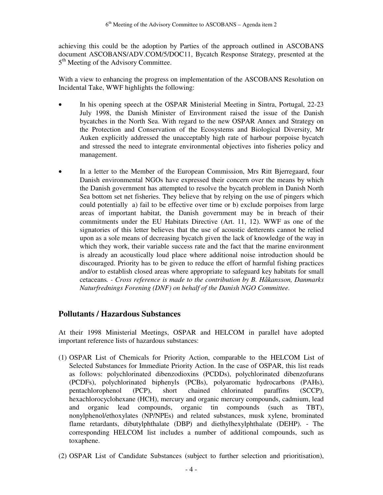achieving this could be the adoption by Parties of the approach outlined in ASCOBANS document ASCOBANS/ADV.COM/5/DOC11, Bycatch Response Strategy, presented at the 5<sup>th</sup> Meeting of the Advisory Committee.

With a view to enhancing the progress on implementation of the ASCOBANS Resolution on Incidental Take, WWF highlights the following:

- In his opening speech at the OSPAR Ministerial Meeting in Sintra, Portugal, 22-23 July 1998, the Danish Minister of Environment raised the issue of the Danish bycatches in the North Sea. With regard to the new OSPAR Annex and Strategy on the Protection and Conservation of the Ecosystems and Biological Diversity, Mr Auken explicitly addressed the unacceptably high rate of harbour porpoise bycatch and stressed the need to integrate environmental objectives into fisheries policy and management.
- In a letter to the Member of the European Commission, Mrs Ritt Bjerregaard, four Danish environmental NGOs have expressed their concern over the means by which the Danish government has attempted to resolve the bycatch problem in Danish North Sea bottom set net fisheries. They believe that by relying on the use of pingers which could potentially a) fail to be effective over time or b) exclude porpoises from large areas of important habitat, the Danish government may be in breach of their commitments under the EU Habitats Directive (Art. 11, 12). WWF as one of the signatories of this letter believes that the use of acoustic detterents cannot be relied upon as a sole means of decreasing bycatch given the lack of knowledge of the way in which they work, their variable success rate and the fact that the marine environment is already an acoustically loud place where additional noise introduction should be discouraged. Priority has to be given to reduce the effort of harmful fishing practices and/or to establish closed areas where appropriate to safeguard key habitats for small cetaceans*. - Cross reference is made to the contribution by B. Håkansson, Danmarks Naturfrednings Forening (DNF) on behalf of the Danish NGO Committee.*

### **Pollutants / Hazardous Substances**

At their 1998 Ministerial Meetings, OSPAR and HELCOM in parallel have adopted important reference lists of hazardous substances:

- (1) OSPAR List of Chemicals for Priority Action, comparable to the HELCOM List of Selected Substances for Immediate Priority Action. In the case of OSPAR, this list reads as follows: polychlorinated dibenzodioxins (PCDDs), polychlorinated dibenzofurans (PCDFs), polychlorinated biphenyls (PCBs), polyaromatic hydrocarbons (PAHs), pentachlorophenol (PCP), short chained chlorinated paraffins (SCCP), hexachlorocyclohexane (HCH), mercury and organic mercury compounds, cadmium, lead and organic lead compounds, organic tin compounds (such as TBT), nonylphenol/ethoxylates (NP/NPEs) and related substances, musk xylene, brominated flame retardants, dibutylphthalate (DBP) and diethylhexylphthalate (DEHP). - The corresponding HELCOM list includes a number of additional compounds, such as toxaphene.
- (2) OSPAR List of Candidate Substances (subject to further selection and prioritisation),